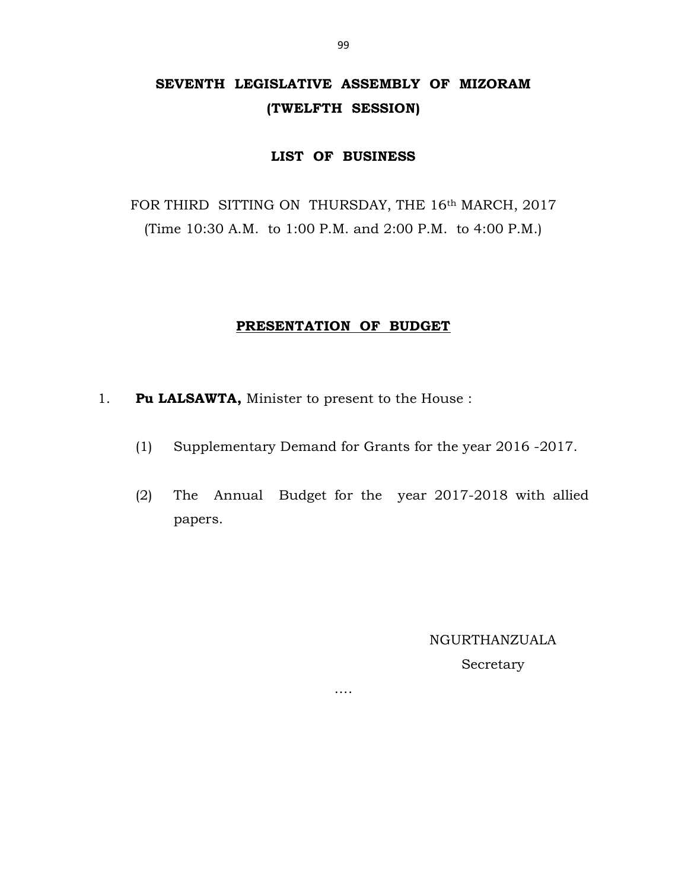# SEVENTH LEGISLATIVE ASSEMBLY OF MIZORAM (TWELFTH SESSION)

# LIST OF BUSINESS

FOR THIRD SITTING ON THURSDAY, THE 16th MARCH, 2017 (Time 10:30 A.M. to 1:00 P.M. and 2:00 P.M. to 4:00 P.M.)

# PRESENTATION OF BUDGET

- 1. Pu LALSAWTA, Minister to present to the House :
	- (1) Supplementary Demand for Grants for the year 2016 -2017.
	- (2) The Annual Budget for the year 2017-2018 with allied papers.

….

NGURTHANZUALA

Secretary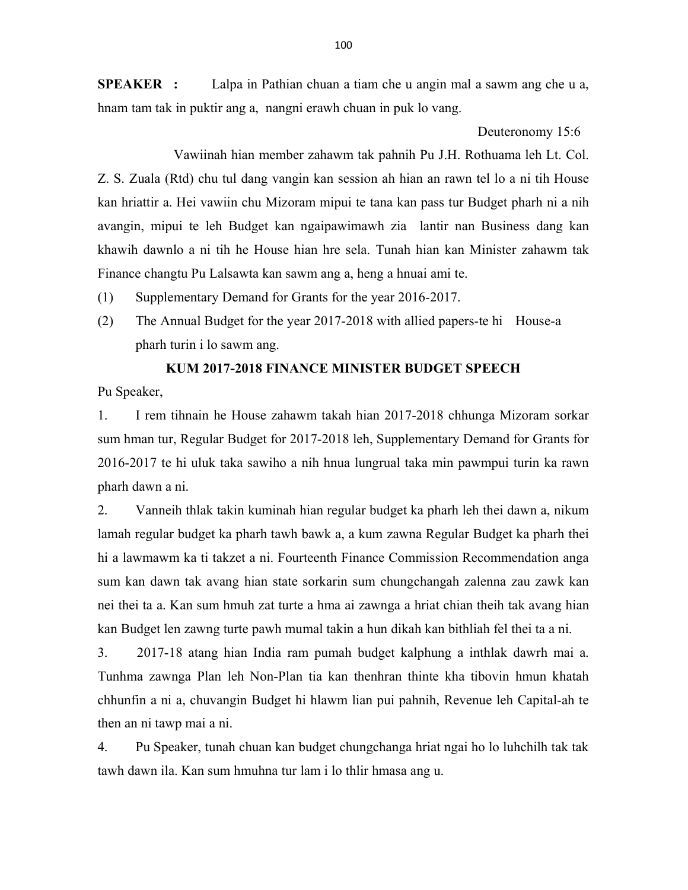SPEAKER : Lalpa in Pathian chuan a tiam che u angin mal a sawm ang che u a, hnam tam tak in puktir ang a, nangni erawh chuan in puk lo vang.

Deuteronomy 15:6

 Vawiinah hian member zahawm tak pahnih Pu J.H. Rothuama leh Lt. Col. Z. S. Zuala (Rtd) chu tul dang vangin kan session ah hian an rawn tel lo a ni tih House kan hriattir a. Hei vawiin chu Mizoram mipui te tana kan pass tur Budget pharh ni a nih avangin, mipui te leh Budget kan ngaipawimawh zia lantir nan Business dang kan khawih dawnlo a ni tih he House hian hre sela. Tunah hian kan Minister zahawm tak Finance changtu Pu Lalsawta kan sawm ang a, heng a hnuai ami te.

(1) Supplementary Demand for Grants for the year 2016-2017.

(2) The Annual Budget for the year 2017-2018 with allied papers-te hi House-a pharh turin i lo sawm ang.

# KUM 2017-2018 FINANCE MINISTER BUDGET SPEECH

Pu Speaker,

1. I rem tihnain he House zahawm takah hian 2017-2018 chhunga Mizoram sorkar sum hman tur, Regular Budget for 2017-2018 leh, Supplementary Demand for Grants for 2016-2017 te hi uluk taka sawiho a nih hnua lungrual taka min pawmpui turin ka rawn pharh dawn a ni.

2. Vanneih thlak takin kuminah hian regular budget ka pharh leh thei dawn a, nikum lamah regular budget ka pharh tawh bawk a, a kum zawna Regular Budget ka pharh thei hi a lawmawm ka ti takzet a ni. Fourteenth Finance Commission Recommendation anga sum kan dawn tak avang hian state sorkarin sum chungchangah zalenna zau zawk kan nei thei ta a. Kan sum hmuh zat turte a hma ai zawnga a hriat chian theih tak avang hian kan Budget len zawng turte pawh mumal takin a hun dikah kan bithliah fel thei ta a ni.

3. 2017-18 atang hian India ram pumah budget kalphung a inthlak dawrh mai a. Tunhma zawnga Plan leh Non-Plan tia kan thenhran thinte kha tibovin hmun khatah chhunfin a ni a, chuvangin Budget hi hlawm lian pui pahnih, Revenue leh Capital-ah te then an ni tawp mai a ni.

4. Pu Speaker, tunah chuan kan budget chungchanga hriat ngai ho lo luhchilh tak tak tawh dawn ila. Kan sum hmuhna tur lam i lo thlir hmasa ang u.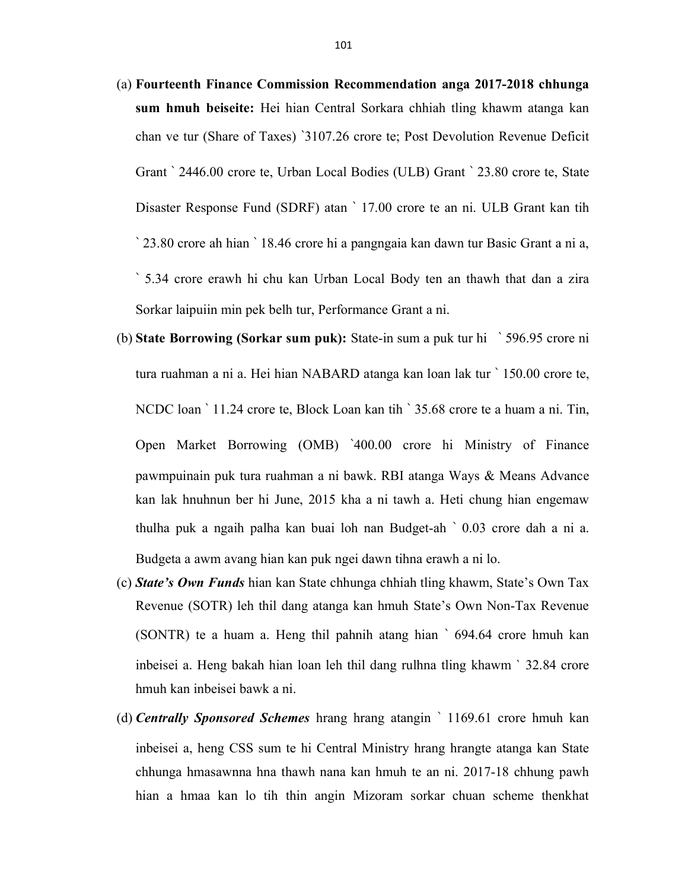- (a) Fourteenth Finance Commission Recommendation anga 2017-2018 chhunga sum hmuh beiseite: Hei hian Central Sorkara chhiah tling khawm atanga kan chan ve tur (Share of Taxes) `3107.26 crore te; Post Devolution Revenue Deficit Grant ` 2446.00 crore te, Urban Local Bodies (ULB) Grant ` 23.80 crore te, State Disaster Response Fund (SDRF) atan ` 17.00 crore te an ni. ULB Grant kan tih ` 23.80 crore ah hian ` 18.46 crore hi a pangngaia kan dawn tur Basic Grant a ni a, ` 5.34 crore erawh hi chu kan Urban Local Body ten an thawh that dan a zira Sorkar laipuiin min pek belh tur, Performance Grant a ni.
- (b) State Borrowing (Sorkar sum puk): State-in sum a puk tur hi ` 596.95 crore ni tura ruahman a ni a. Hei hian NABARD atanga kan loan lak tur ` 150.00 crore te, NCDC loan ` 11.24 crore te, Block Loan kan tih ` 35.68 crore te a huam a ni. Tin, Open Market Borrowing (OMB) `400.00 crore hi Ministry of Finance pawmpuinain puk tura ruahman a ni bawk. RBI atanga Ways & Means Advance kan lak hnuhnun ber hi June, 2015 kha a ni tawh a. Heti chung hian engemaw thulha puk a ngaih palha kan buai loh nan Budget-ah ` 0.03 crore dah a ni a. Budgeta a awm avang hian kan puk ngei dawn tihna erawh a ni lo.
- (c) State's Own Funds hian kan State chhunga chhiah tling khawm, State's Own Tax Revenue (SOTR) leh thil dang atanga kan hmuh State's Own Non-Tax Revenue (SONTR) te a huam a. Heng thil pahnih atang hian ` 694.64 crore hmuh kan inbeisei a. Heng bakah hian loan leh thil dang rulhna tling khawm ` 32.84 crore hmuh kan inbeisei bawk a ni.
- (d) **Centrally Sponsored Schemes** hrang hrang atangin ` 1169.61 crore hmuh kan inbeisei a, heng CSS sum te hi Central Ministry hrang hrangte atanga kan State chhunga hmasawnna hna thawh nana kan hmuh te an ni. 2017-18 chhung pawh hian a hmaa kan lo tih thin angin Mizoram sorkar chuan scheme thenkhat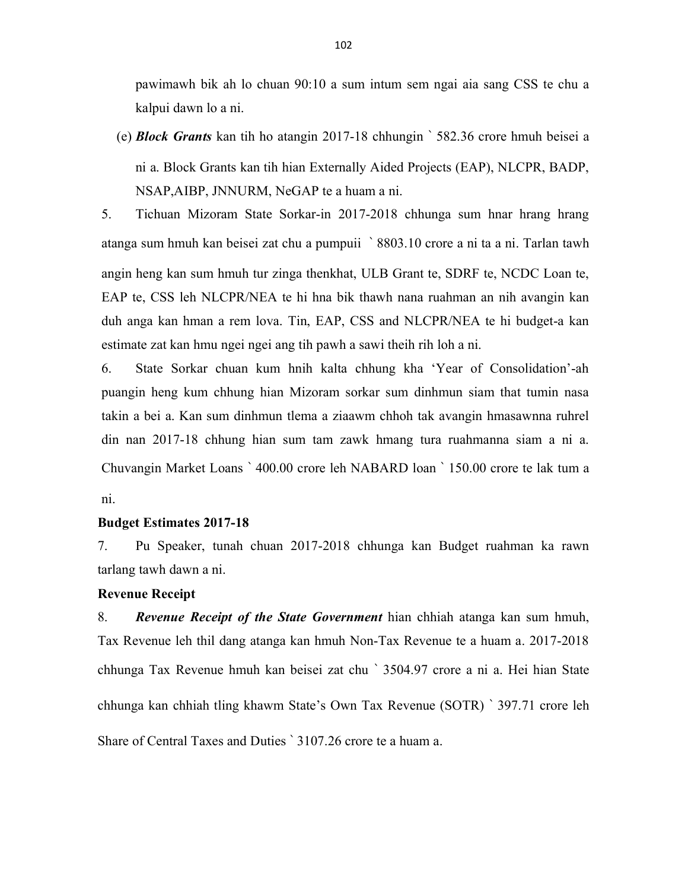pawimawh bik ah lo chuan 90:10 a sum intum sem ngai aia sang CSS te chu a kalpui dawn lo a ni.

(e) Block Grants kan tih ho atangin 2017-18 chhungin ` 582.36 crore hmuh beisei a ni a. Block Grants kan tih hian Externally Aided Projects (EAP), NLCPR, BADP, NSAP,AIBP, JNNURM, NeGAP te a huam a ni.

5. Tichuan Mizoram State Sorkar-in 2017-2018 chhunga sum hnar hrang hrang atanga sum hmuh kan beisei zat chu a pumpuii ` 8803.10 crore a ni ta a ni. Tarlan tawh angin heng kan sum hmuh tur zinga thenkhat, ULB Grant te, SDRF te, NCDC Loan te, EAP te, CSS leh NLCPR/NEA te hi hna bik thawh nana ruahman an nih avangin kan duh anga kan hman a rem lova. Tin, EAP, CSS and NLCPR/NEA te hi budget-a kan estimate zat kan hmu ngei ngei ang tih pawh a sawi theih rih loh a ni.

6. State Sorkar chuan kum hnih kalta chhung kha 'Year of Consolidation'-ah puangin heng kum chhung hian Mizoram sorkar sum dinhmun siam that tumin nasa takin a bei a. Kan sum dinhmun tlema a ziaawm chhoh tak avangin hmasawnna ruhrel din nan 2017-18 chhung hian sum tam zawk hmang tura ruahmanna siam a ni a. Chuvangin Market Loans ` 400.00 crore leh NABARD loan ` 150.00 crore te lak tum a ni.

## Budget Estimates 2017-18

7. Pu Speaker, tunah chuan 2017-2018 chhunga kan Budget ruahman ka rawn tarlang tawh dawn a ni.

## Revenue Receipt

8. Revenue Receipt of the State Government hian chhiah atanga kan sum hmuh, Tax Revenue leh thil dang atanga kan hmuh Non-Tax Revenue te a huam a. 2017-2018 chhunga Tax Revenue hmuh kan beisei zat chu ` 3504.97 crore a ni a. Hei hian State chhunga kan chhiah tling khawm State's Own Tax Revenue (SOTR) ` 397.71 crore leh Share of Central Taxes and Duties ` 3107.26 crore te a huam a.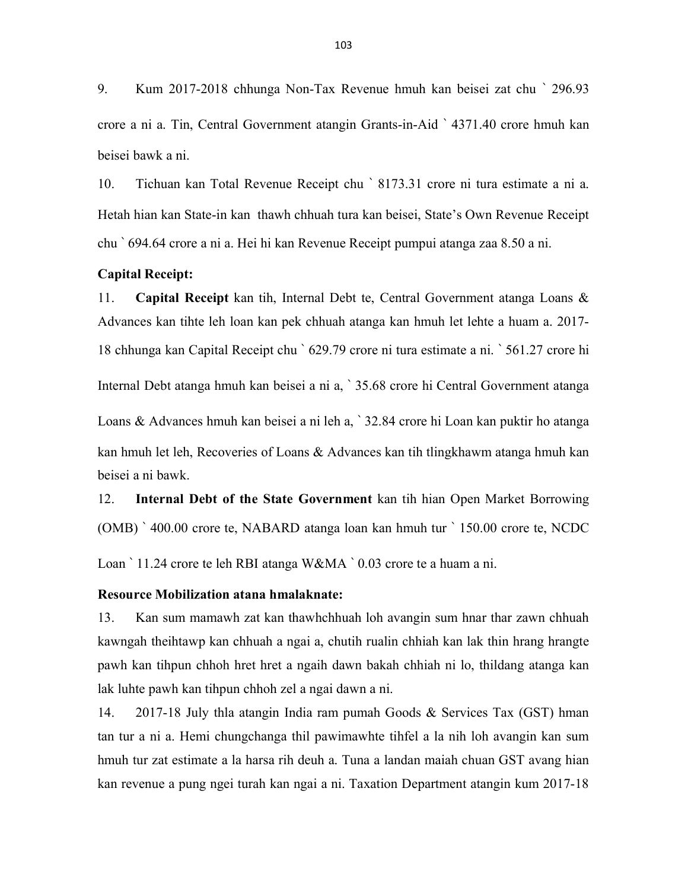9. Kum 2017-2018 chhunga Non-Tax Revenue hmuh kan beisei zat chu ` 296.93 crore a ni a. Tin, Central Government atangin Grants-in-Aid ` 4371.40 crore hmuh kan beisei bawk a ni.

10. Tichuan kan Total Revenue Receipt chu ` 8173.31 crore ni tura estimate a ni a. Hetah hian kan State-in kan thawh chhuah tura kan beisei, State's Own Revenue Receipt chu ` 694.64 crore a ni a. Hei hi kan Revenue Receipt pumpui atanga zaa 8.50 a ni.

## Capital Receipt:

11. Capital Receipt kan tih, Internal Debt te, Central Government atanga Loans & Advances kan tihte leh loan kan pek chhuah atanga kan hmuh let lehte a huam a. 2017- 18 chhunga kan Capital Receipt chu ` 629.79 crore ni tura estimate a ni. ` 561.27 crore hi Internal Debt atanga hmuh kan beisei a ni a, ` 35.68 crore hi Central Government atanga Loans & Advances hmuh kan beisei a ni leh a, ` 32.84 crore hi Loan kan puktir ho atanga kan hmuh let leh, Recoveries of Loans & Advances kan tih tlingkhawm atanga hmuh kan beisei a ni bawk.

12. Internal Debt of the State Government kan tih hian Open Market Borrowing (OMB) ` 400.00 crore te, NABARD atanga loan kan hmuh tur ` 150.00 crore te, NCDC Loan ` 11.24 crore te leh RBI atanga W&MA ` 0.03 crore te a huam a ni.

# Resource Mobilization atana hmalaknate:

13. Kan sum mamawh zat kan thawhchhuah loh avangin sum hnar thar zawn chhuah kawngah theihtawp kan chhuah a ngai a, chutih rualin chhiah kan lak thin hrang hrangte pawh kan tihpun chhoh hret hret a ngaih dawn bakah chhiah ni lo, thildang atanga kan lak luhte pawh kan tihpun chhoh zel a ngai dawn a ni.

14. 2017-18 July thla atangin India ram pumah Goods & Services Tax (GST) hman tan tur a ni a. Hemi chungchanga thil pawimawhte tihfel a la nih loh avangin kan sum hmuh tur zat estimate a la harsa rih deuh a. Tuna a landan maiah chuan GST avang hian kan revenue a pung ngei turah kan ngai a ni. Taxation Department atangin kum 2017-18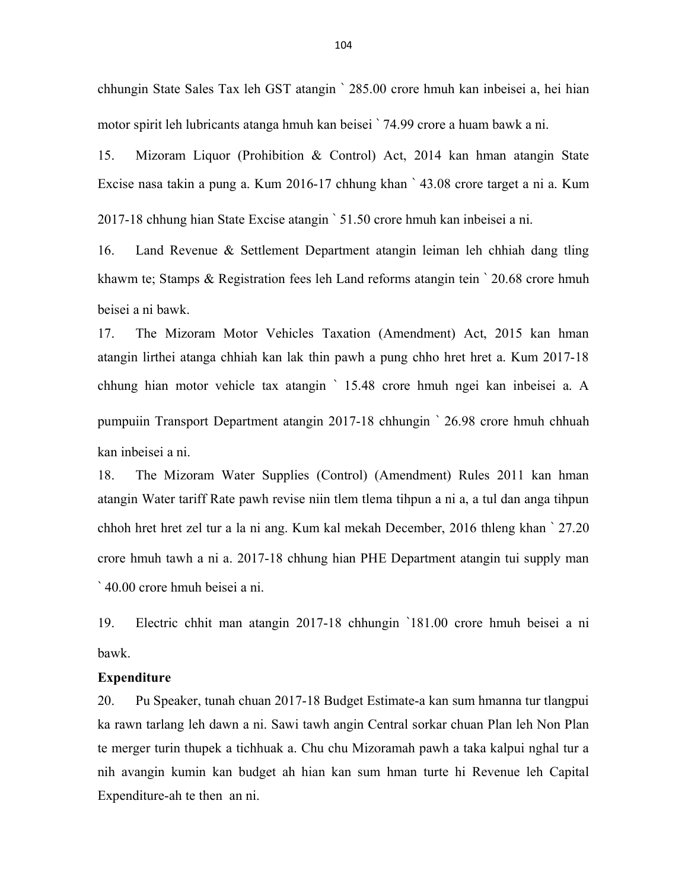chhungin State Sales Tax leh GST atangin ` 285.00 crore hmuh kan inbeisei a, hei hian motor spirit leh lubricants atanga hmuh kan beisei ` 74.99 crore a huam bawk a ni.

15. Mizoram Liquor (Prohibition & Control) Act, 2014 kan hman atangin State Excise nasa takin a pung a. Kum 2016-17 chhung khan ` 43.08 crore target a ni a. Kum 2017-18 chhung hian State Excise atangin ` 51.50 crore hmuh kan inbeisei a ni.

16. Land Revenue & Settlement Department atangin leiman leh chhiah dang tling khawm te; Stamps & Registration fees leh Land reforms atangin tein ` 20.68 crore hmuh beisei a ni bawk.

17. The Mizoram Motor Vehicles Taxation (Amendment) Act, 2015 kan hman atangin lirthei atanga chhiah kan lak thin pawh a pung chho hret hret a. Kum 2017-18 chhung hian motor vehicle tax atangin ` 15.48 crore hmuh ngei kan inbeisei a. A pumpuiin Transport Department atangin 2017-18 chhungin ` 26.98 crore hmuh chhuah kan inbeisei a ni.

18. The Mizoram Water Supplies (Control) (Amendment) Rules 2011 kan hman atangin Water tariff Rate pawh revise niin tlem tlema tihpun a ni a, a tul dan anga tihpun chhoh hret hret zel tur a la ni ang. Kum kal mekah December, 2016 thleng khan ` 27.20 crore hmuh tawh a ni a. 2017-18 chhung hian PHE Department atangin tui supply man ` 40.00 crore hmuh beisei a ni.

19. Electric chhit man atangin 2017-18 chhungin `181.00 crore hmuh beisei a ni bawk.

#### Expenditure

20. Pu Speaker, tunah chuan 2017-18 Budget Estimate-a kan sum hmanna tur tlangpui ka rawn tarlang leh dawn a ni. Sawi tawh angin Central sorkar chuan Plan leh Non Plan te merger turin thupek a tichhuak a. Chu chu Mizoramah pawh a taka kalpui nghal tur a nih avangin kumin kan budget ah hian kan sum hman turte hi Revenue leh Capital Expenditure-ah te then an ni.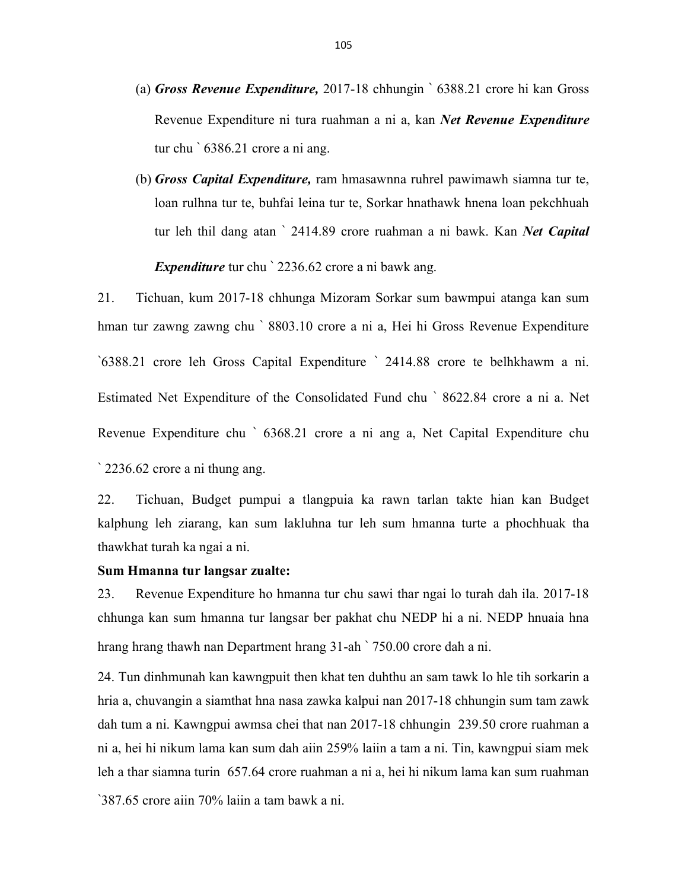- (a) Gross Revenue Expenditure, 2017-18 chhungin ` 6388.21 crore hi kan Gross Revenue Expenditure ni tura ruahman a ni a, kan Net Revenue Expenditure tur chu ` 6386.21 crore a ni ang.
- (b) Gross Capital Expenditure, ram hmasawnna ruhrel pawimawh siamna tur te, loan rulhna tur te, buhfai leina tur te, Sorkar hnathawk hnena loan pekchhuah tur leh thil dang atan ` 2414.89 crore ruahman a ni bawk. Kan Net Capital Expenditure tur chu ` 2236.62 crore a ni bawk ang.

21. Tichuan, kum 2017-18 chhunga Mizoram Sorkar sum bawmpui atanga kan sum hman tur zawng zawng chu ` 8803.10 crore a ni a, Hei hi Gross Revenue Expenditure `6388.21 crore leh Gross Capital Expenditure ` 2414.88 crore te belhkhawm a ni. Estimated Net Expenditure of the Consolidated Fund chu ` 8622.84 crore a ni a. Net Revenue Expenditure chu ` 6368.21 crore a ni ang a, Net Capital Expenditure chu

` 2236.62 crore a ni thung ang.

22. Tichuan, Budget pumpui a tlangpuia ka rawn tarlan takte hian kan Budget kalphung leh ziarang, kan sum lakluhna tur leh sum hmanna turte a phochhuak tha thawkhat turah ka ngai a ni.

#### Sum Hmanna tur langsar zualte:

23. Revenue Expenditure ho hmanna tur chu sawi thar ngai lo turah dah ila. 2017-18 chhunga kan sum hmanna tur langsar ber pakhat chu NEDP hi a ni. NEDP hnuaia hna hrang hrang thawh nan Department hrang 31-ah ` 750.00 crore dah a ni.

24. Tun dinhmunah kan kawngpuit then khat ten duhthu an sam tawk lo hle tih sorkarin a hria a, chuvangin a siamthat hna nasa zawka kalpui nan 2017-18 chhungin sum tam zawk dah tum a ni. Kawngpui awmsa chei that nan 2017-18 chhungin 239.50 crore ruahman a ni a, hei hi nikum lama kan sum dah aiin 259% laiin a tam a ni. Tin, kawngpui siam mek leh a thar siamna turin 657.64 crore ruahman a ni a, hei hi nikum lama kan sum ruahman

`387.65 crore aiin 70% laiin a tam bawk a ni.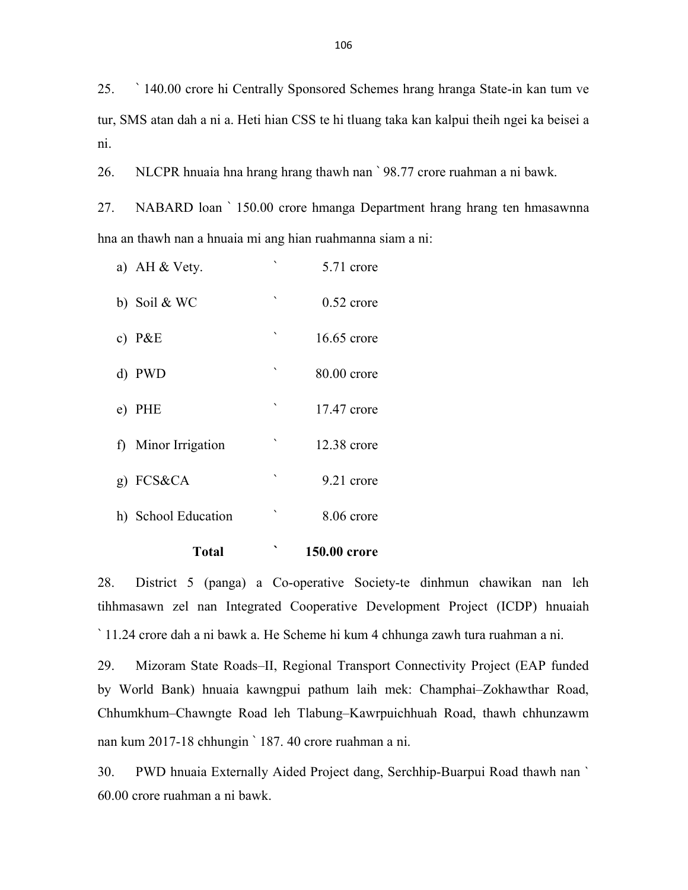25. ` 140.00 crore hi Centrally Sponsored Schemes hrang hranga State-in kan tum ve tur, SMS atan dah a ni a. Heti hian CSS te hi tluang taka kan kalpui theih ngei ka beisei a ni.

26. NLCPR hnuaia hna hrang hrang thawh nan ` 98.77 crore ruahman a ni bawk.

27. NABARD loan ` 150.00 crore hmanga Department hrang hrang ten hmasawnna hna an thawh nan a hnuaia mi ang hian ruahmanna siam a ni:

| Total               |              | 150.00 crore  |
|---------------------|--------------|---------------|
| h) School Education | $\lambda$    | 8.06 crore    |
| $g)$ FCS&CA         | ۰            | 9.21 crore    |
| f) Minor Irrigation | $\checkmark$ | $12.38$ crore |
| e) PHE              | ۰            | $17.47$ crore |
| d) PWD              | $\lambda$    | 80.00 crore   |
| c) $P&E$            | ۰            | $16.65$ crore |
| b) Soil & WC        | $\checkmark$ | $0.52$ crore  |
| a) AH & Vety.       |              | 5.71 crore    |

28. District 5 (panga) a Co-operative Society-te dinhmun chawikan nan leh tihhmasawn zel nan Integrated Cooperative Development Project (ICDP) hnuaiah ` 11.24 crore dah a ni bawk a. He Scheme hi kum 4 chhunga zawh tura ruahman a ni.

29. Mizoram State Roads–II, Regional Transport Connectivity Project (EAP funded by World Bank) hnuaia kawngpui pathum laih mek: Champhai–Zokhawthar Road, Chhumkhum–Chawngte Road leh Tlabung–Kawrpuichhuah Road, thawh chhunzawm nan kum 2017-18 chhungin ` 187. 40 crore ruahman a ni.

30. PWD hnuaia Externally Aided Project dang, Serchhip-Buarpui Road thawh nan ` 60.00 crore ruahman a ni bawk.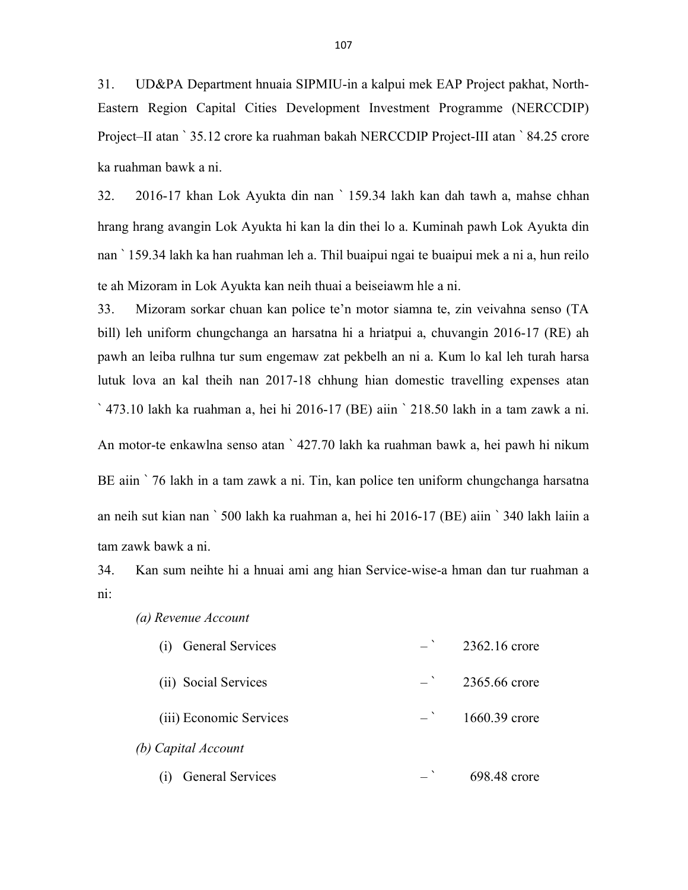31. UD&PA Department hnuaia SIPMIU-in a kalpui mek EAP Project pakhat, North-Eastern Region Capital Cities Development Investment Programme (NERCCDIP) Project–II atan ` 35.12 crore ka ruahman bakah NERCCDIP Project-III atan ` 84.25 crore ka ruahman bawk a ni.

32. 2016-17 khan Lok Ayukta din nan ` 159.34 lakh kan dah tawh a, mahse chhan hrang hrang avangin Lok Ayukta hi kan la din thei lo a. Kuminah pawh Lok Ayukta din nan ` 159.34 lakh ka han ruahman leh a. Thil buaipui ngai te buaipui mek a ni a, hun reilo te ah Mizoram in Lok Ayukta kan neih thuai a beiseiawm hle a ni.

33. Mizoram sorkar chuan kan police te'n motor siamna te, zin veivahna senso (TA bill) leh uniform chungchanga an harsatna hi a hriatpui a, chuvangin 2016-17 (RE) ah pawh an leiba rulhna tur sum engemaw zat pekbelh an ni a. Kum lo kal leh turah harsa lutuk lova an kal theih nan 2017-18 chhung hian domestic travelling expenses atan ` 473.10 lakh ka ruahman a, hei hi 2016-17 (BE) aiin ` 218.50 lakh in a tam zawk a ni. An motor-te enkawlna senso atan ` 427.70 lakh ka ruahman bawk a, hei pawh hi nikum BE aiin ` 76 lakh in a tam zawk a ni. Tin, kan police ten uniform chungchanga harsatna an neih sut kian nan ` 500 lakh ka ruahman a, hei hi 2016-17 (BE) aiin ` 340 lakh laiin a tam zawk bawk a ni.

34. Kan sum neihte hi a hnuai ami ang hian Service-wise-a hman dan tur ruahman a ni:

| <b>General Services</b>        |  | 2362.16 crore |  |  |
|--------------------------------|--|---------------|--|--|
| (ii) Social Services           |  | 2365.66 crore |  |  |
| (iii) Economic Services        |  | 1660.39 crore |  |  |
| (b) Capital Account            |  |               |  |  |
| <b>General Services</b><br>(1) |  | 698.48 crore  |  |  |

(a) Revenue Account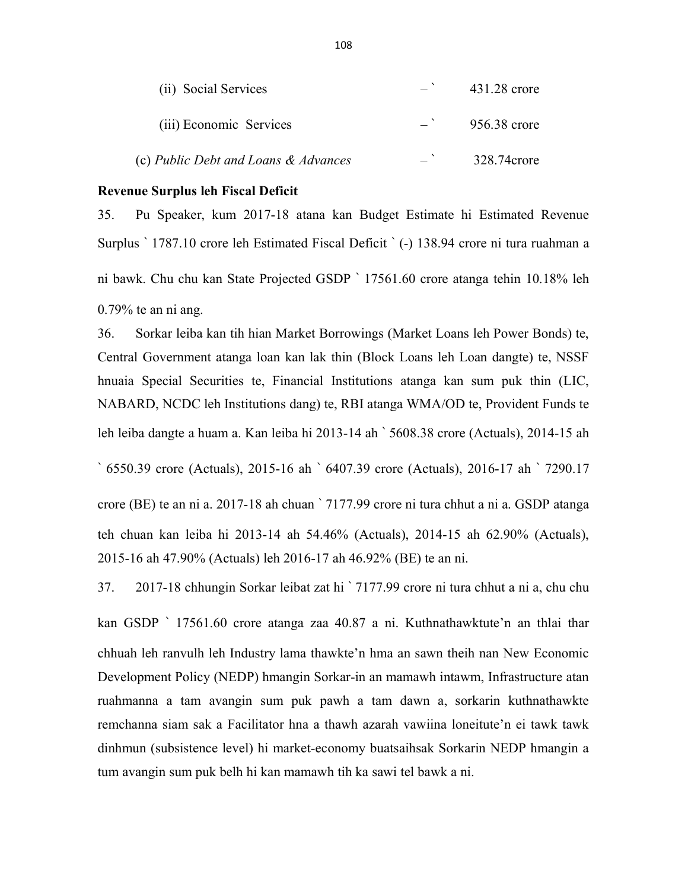| (ii) Social Services                 | 431.28 crore |
|--------------------------------------|--------------|
| (iii) Economic Services              | 956.38 crore |
| (c) Public Debt and Loans & Advances | 328.74crore  |

## Revenue Surplus leh Fiscal Deficit

35. Pu Speaker, kum 2017-18 atana kan Budget Estimate hi Estimated Revenue Surplus ` 1787.10 crore leh Estimated Fiscal Deficit ` (-) 138.94 crore ni tura ruahman a ni bawk. Chu chu kan State Projected GSDP ` 17561.60 crore atanga tehin 10.18% leh 0.79% te an ni ang.

36. Sorkar leiba kan tih hian Market Borrowings (Market Loans leh Power Bonds) te, Central Government atanga loan kan lak thin (Block Loans leh Loan dangte) te, NSSF hnuaia Special Securities te, Financial Institutions atanga kan sum puk thin (LIC, NABARD, NCDC leh Institutions dang) te, RBI atanga WMA/OD te, Provident Funds te leh leiba dangte a huam a. Kan leiba hi 2013-14 ah ` 5608.38 crore (Actuals), 2014-15 ah

` 6550.39 crore (Actuals), 2015-16 ah ` 6407.39 crore (Actuals), 2016-17 ah ` 7290.17

crore (BE) te an ni a. 2017-18 ah chuan ` 7177.99 crore ni tura chhut a ni a. GSDP atanga teh chuan kan leiba hi 2013-14 ah 54.46% (Actuals), 2014-15 ah 62.90% (Actuals), 2015-16 ah 47.90% (Actuals) leh 2016-17 ah 46.92% (BE) te an ni.

37. 2017-18 chhungin Sorkar leibat zat hi ` 7177.99 crore ni tura chhut a ni a, chu chu kan GSDP ` 17561.60 crore atanga zaa 40.87 a ni. Kuthnathawktute'n an thlai thar chhuah leh ranvulh leh Industry lama thawkte'n hma an sawn theih nan New Economic Development Policy (NEDP) hmangin Sorkar-in an mamawh intawm, Infrastructure atan ruahmanna a tam avangin sum puk pawh a tam dawn a, sorkarin kuthnathawkte remchanna siam sak a Facilitator hna a thawh azarah vawiina loneitute'n ei tawk tawk dinhmun (subsistence level) hi market-economy buatsaihsak Sorkarin NEDP hmangin a tum avangin sum puk belh hi kan mamawh tih ka sawi tel bawk a ni.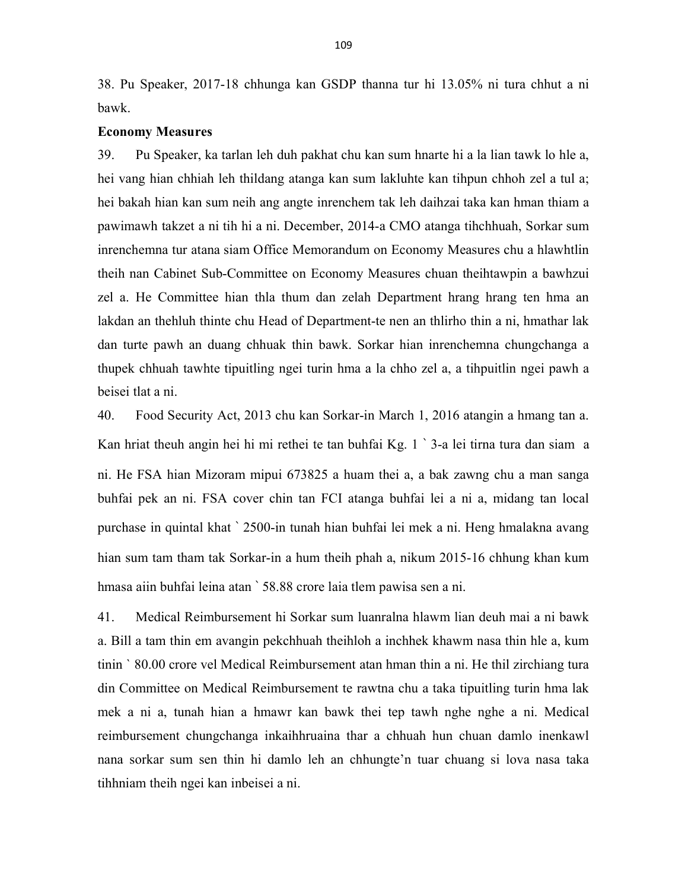38. Pu Speaker, 2017-18 chhunga kan GSDP thanna tur hi 13.05% ni tura chhut a ni bawk.

## Economy Measures

39. Pu Speaker, ka tarlan leh duh pakhat chu kan sum hnarte hi a la lian tawk lo hle a, hei vang hian chhiah leh thildang atanga kan sum lakluhte kan tihpun chhoh zel a tul a; hei bakah hian kan sum neih ang angte inrenchem tak leh daihzai taka kan hman thiam a pawimawh takzet a ni tih hi a ni. December, 2014-a CMO atanga tihchhuah, Sorkar sum inrenchemna tur atana siam Office Memorandum on Economy Measures chu a hlawhtlin theih nan Cabinet Sub-Committee on Economy Measures chuan theihtawpin a bawhzui zel a. He Committee hian thla thum dan zelah Department hrang hrang ten hma an lakdan an thehluh thinte chu Head of Department-te nen an thlirho thin a ni, hmathar lak dan turte pawh an duang chhuak thin bawk. Sorkar hian inrenchemna chungchanga a thupek chhuah tawhte tipuitling ngei turin hma a la chho zel a, a tihpuitlin ngei pawh a beisei tlat a ni.

40. Food Security Act, 2013 chu kan Sorkar-in March 1, 2016 atangin a hmang tan a. Kan hriat theuh angin hei hi mi rethei te tan buhfai Kg. 1 ` 3-a lei tirna tura dan siam a ni. He FSA hian Mizoram mipui 673825 a huam thei a, a bak zawng chu a man sanga buhfai pek an ni. FSA cover chin tan FCI atanga buhfai lei a ni a, midang tan local purchase in quintal khat ` 2500-in tunah hian buhfai lei mek a ni. Heng hmalakna avang hian sum tam tham tak Sorkar-in a hum theih phah a, nikum 2015-16 chhung khan kum hmasa aiin buhfai leina atan ` 58.88 crore laia tlem pawisa sen a ni.

41. Medical Reimbursement hi Sorkar sum luanralna hlawm lian deuh mai a ni bawk a. Bill a tam thin em avangin pekchhuah theihloh a inchhek khawm nasa thin hle a, kum tinin ` 80.00 crore vel Medical Reimbursement atan hman thin a ni. He thil zirchiang tura din Committee on Medical Reimbursement te rawtna chu a taka tipuitling turin hma lak mek a ni a, tunah hian a hmawr kan bawk thei tep tawh nghe nghe a ni. Medical reimbursement chungchanga inkaihhruaina thar a chhuah hun chuan damlo inenkawl nana sorkar sum sen thin hi damlo leh an chhungte'n tuar chuang si lova nasa taka tihhniam theih ngei kan inbeisei a ni.